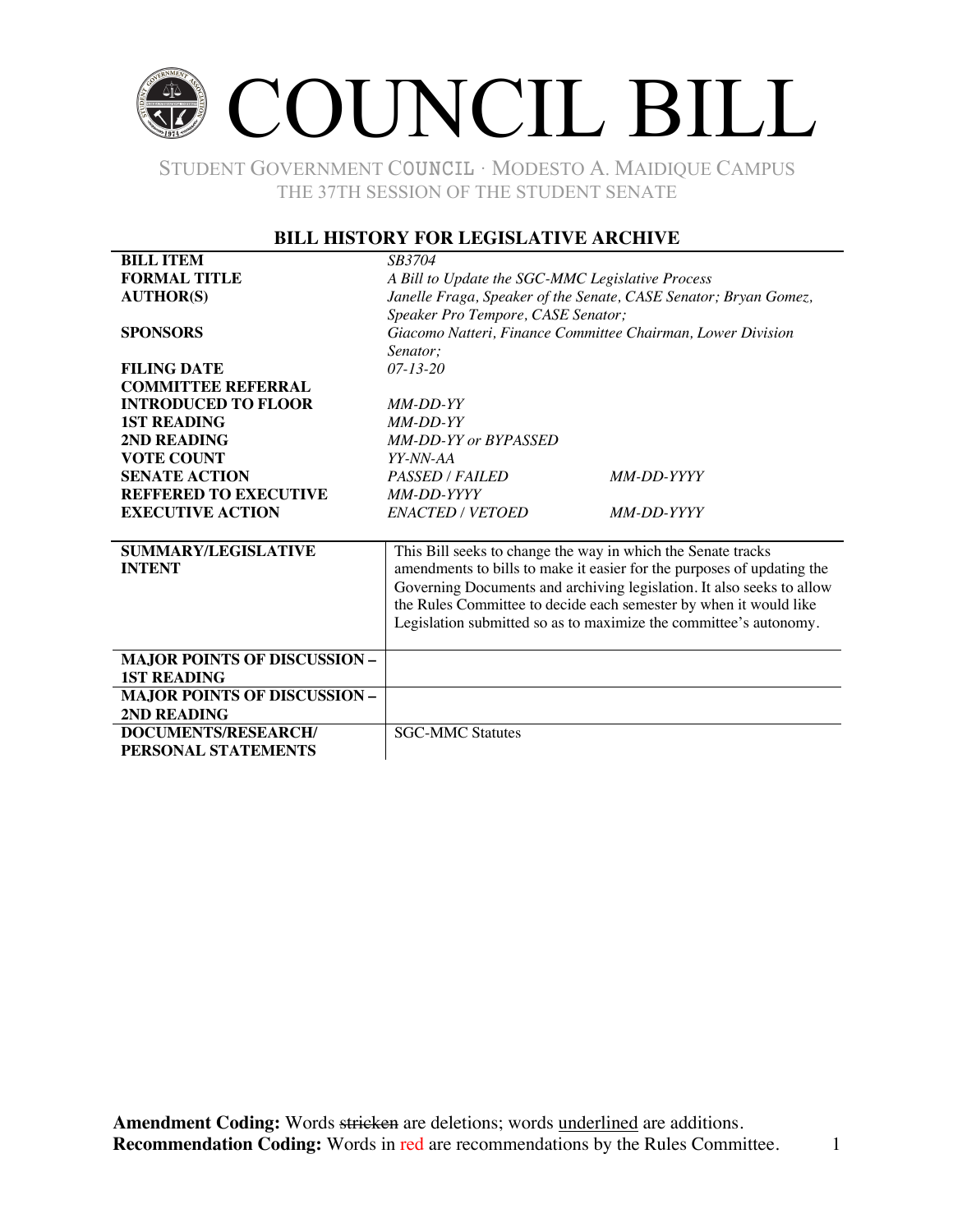# COUNCIL BILL

STUDENT GOVERNMENT COUNCIL ∙ MODESTO A. MAIDIQUE CAMPUS THE 37TH SESSION OF THE STUDENT SENATE

#### **BILL HISTORY FOR LEGISLATIVE ARCHIVE**

| <b>BILL ITEM</b>                    | SB3704                                                                 |  |  |
|-------------------------------------|------------------------------------------------------------------------|--|--|
| <b>FORMAL TITLE</b>                 | A Bill to Update the SGC-MMC Legislative Process                       |  |  |
| <b>AUTHOR(S)</b>                    | Janelle Fraga, Speaker of the Senate, CASE Senator; Bryan Gomez,       |  |  |
|                                     | Speaker Pro Tempore, CASE Senator;                                     |  |  |
| <b>SPONSORS</b>                     | Giacomo Natteri, Finance Committee Chairman, Lower Division            |  |  |
|                                     | Senator:                                                               |  |  |
| <b>FILING DATE</b>                  | $07 - 13 - 20$                                                         |  |  |
| <b>COMMITTEE REFERRAL</b>           |                                                                        |  |  |
| <b>INTRODUCED TO FLOOR</b>          | MM-DD-YY                                                               |  |  |
| <b>1ST READING</b>                  | $MM-DD-YY$                                                             |  |  |
| 2ND READING                         | MM-DD-YY or BYPASSED                                                   |  |  |
| <b>VOTE COUNT</b>                   | YY-NN-AA                                                               |  |  |
| <b>SENATE ACTION</b>                | <b>PASSED / FAILED</b><br>MM-DD-YYYY                                   |  |  |
| <b>REFFERED TO EXECUTIVE</b>        | MM-DD-YYYY                                                             |  |  |
| <b>EXECUTIVE ACTION</b>             | <b>ENACTED / VETOED</b><br>MM-DD-YYYY                                  |  |  |
|                                     |                                                                        |  |  |
| <b>SUMMARY/LEGISLATIVE</b>          | This Bill seeks to change the way in which the Senate tracks           |  |  |
| <b>INTENT</b>                       | amendments to bills to make it easier for the purposes of updating the |  |  |
|                                     | Governing Documents and archiving legislation. It also seeks to allow  |  |  |
|                                     | the Rules Committee to decide each semester by when it would like      |  |  |
|                                     | Legislation submitted so as to maximize the committee's autonomy.      |  |  |
|                                     |                                                                        |  |  |
| <b>MAJOR POINTS OF DISCUSSION -</b> |                                                                        |  |  |
| <b>1ST READING</b>                  |                                                                        |  |  |
| <b>MAJOR POINTS OF DISCUSSION -</b> |                                                                        |  |  |
| 2ND READING                         |                                                                        |  |  |
| DOCUMENTS/RESEARCH/                 | <b>SGC-MMC Statutes</b>                                                |  |  |
| PERSONAL STATEMENTS                 |                                                                        |  |  |
|                                     |                                                                        |  |  |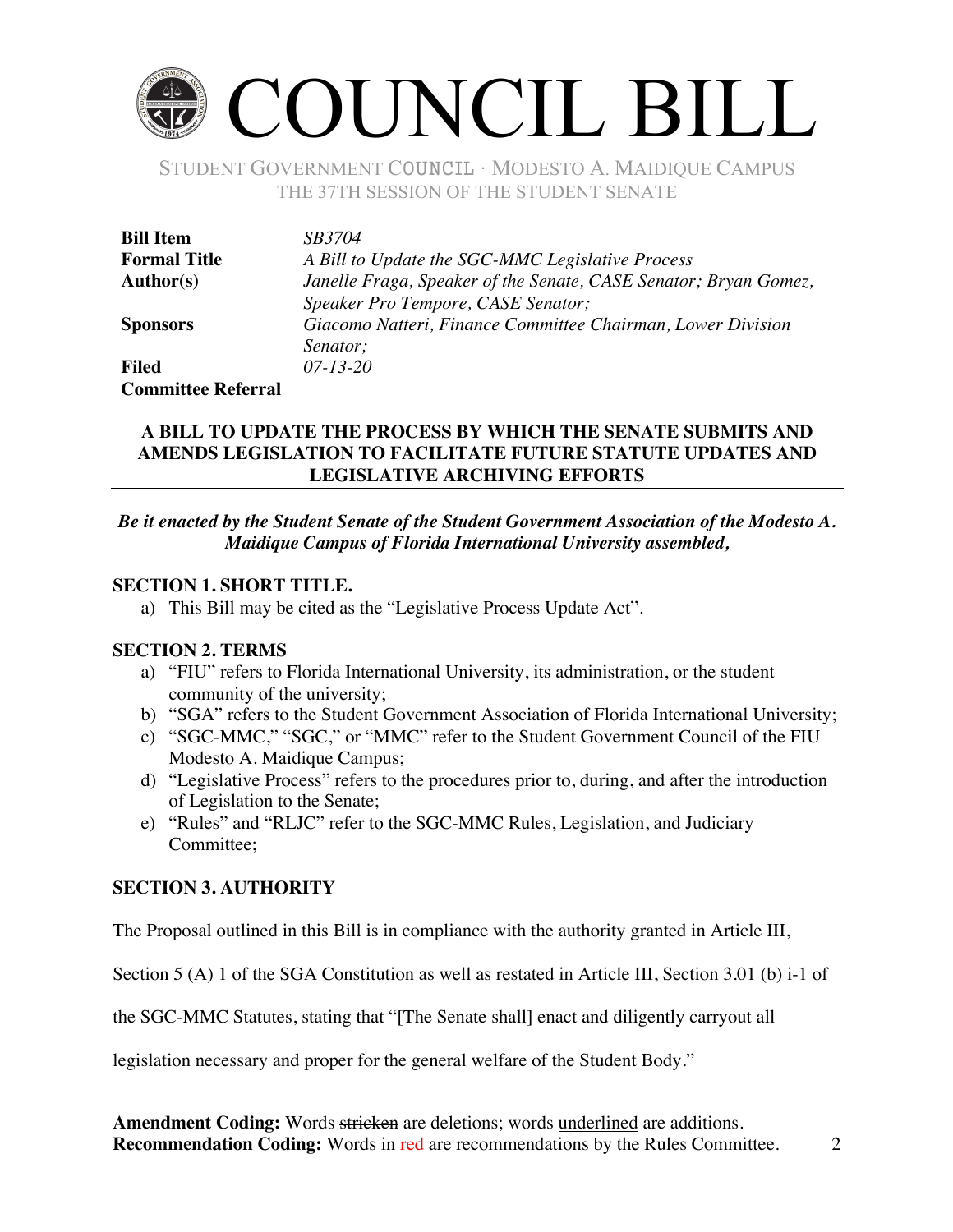# COUNCIL BILL

STUDENT GOVERNMENT COUNCIL ∙ MODESTO A. MAIDIQUE CAMPUS THE 37TH SESSION OF THE STUDENT SENATE

| <b>Bill Item</b>          | <i>SB3704</i>                                                    |
|---------------------------|------------------------------------------------------------------|
| <b>Formal Title</b>       | A Bill to Update the SGC-MMC Legislative Process                 |
| <b>Author(s)</b>          | Janelle Fraga, Speaker of the Senate, CASE Senator; Bryan Gomez, |
|                           | Speaker Pro Tempore, CASE Senator;                               |
| <b>Sponsors</b>           | Giacomo Natteri, Finance Committee Chairman, Lower Division      |
|                           | Senator;                                                         |
| <b>Filed</b>              | $07 - 13 - 20$                                                   |
| <b>Committee Referral</b> |                                                                  |

#### **A BILL TO UPDATE THE PROCESS BY WHICH THE SENATE SUBMITS AND AMENDS LEGISLATION TO FACILITATE FUTURE STATUTE UPDATES AND LEGISLATIVE ARCHIVING EFFORTS**

#### *Be it enacted by the Student Senate of the Student Government Association of the Modesto A. Maidique Campus of Florida International University assembled,*

#### **SECTION 1. SHORT TITLE.**

a) This Bill may be cited as the "Legislative Process Update Act".

#### **SECTION 2. TERMS**

- a) "FIU" refers to Florida International University, its administration, or the student community of the university;
- b) "SGA" refers to the Student Government Association of Florida International University;
- c) "SGC-MMC," "SGC," or "MMC" refer to the Student Government Council of the FIU Modesto A. Maidique Campus;
- d) "Legislative Process" refers to the procedures prior to, during, and after the introduction of Legislation to the Senate;
- e) "Rules" and "RLJC" refer to the SGC-MMC Rules, Legislation, and Judiciary Committee;

## **SECTION 3. AUTHORITY**

The Proposal outlined in this Bill is in compliance with the authority granted in Article III,

Section 5 (A) 1 of the SGA Constitution as well as restated in Article III, Section 3.01 (b) i-1 of

the SGC-MMC Statutes, stating that "[The Senate shall] enact and diligently carryout all

legislation necessary and proper for the general welfare of the Student Body."

**Amendment Coding:** Words stricken are deletions; words underlined are additions. **Recommendation Coding:** Words in red are recommendations by the Rules Committee. 2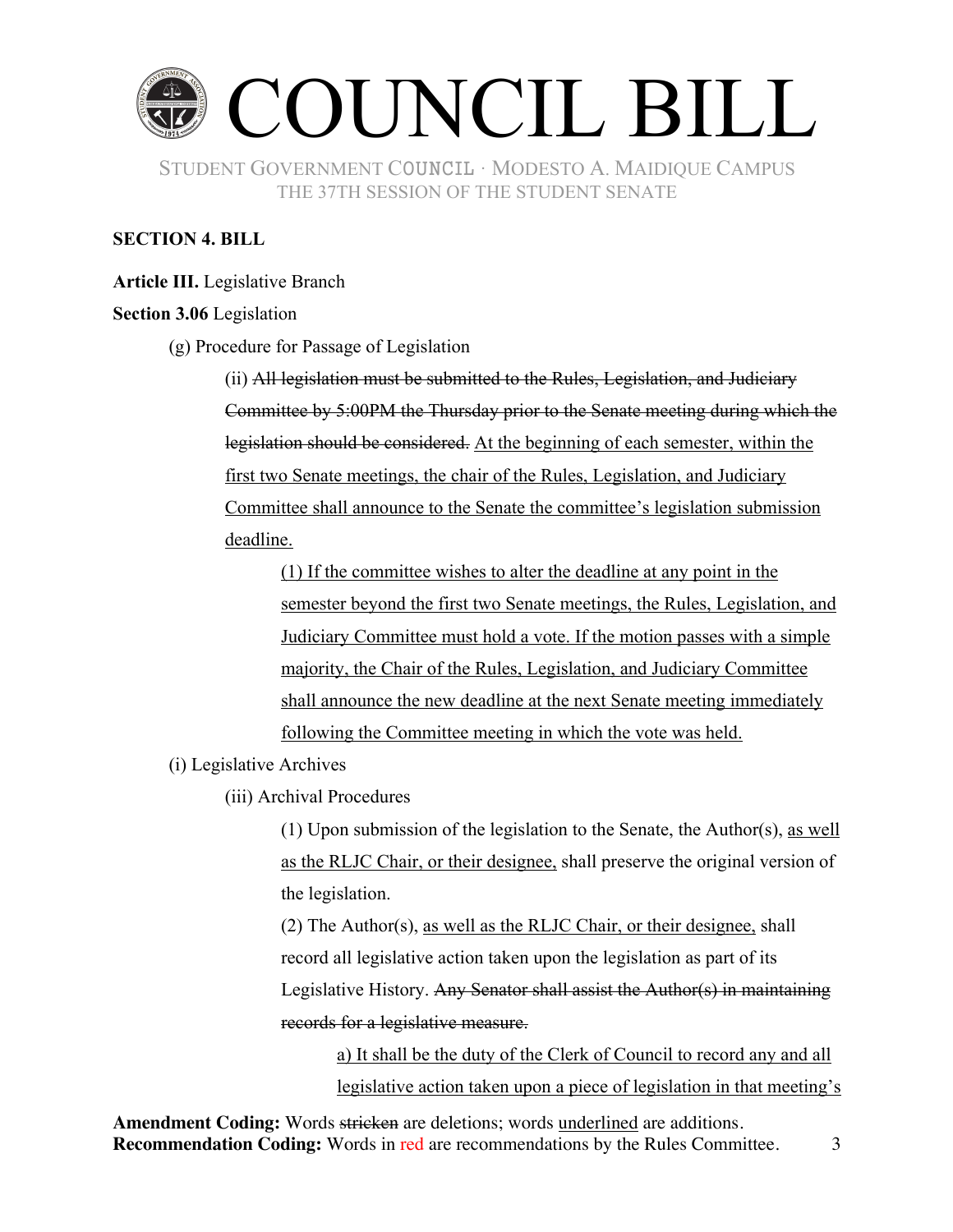

### **SECTION 4. BILL**

**Article III.** Legislative Branch

#### **Section 3.06** Legislation

(g) Procedure for Passage of Legislation

(ii) All legislation must be submitted to the Rules, Legislation, and Judiciary Committee by 5:00PM the Thursday prior to the Senate meeting during which the legislation should be considered. At the beginning of each semester, within the first two Senate meetings, the chair of the Rules, Legislation, and Judiciary Committee shall announce to the Senate the committee's legislation submission deadline.

(1) If the committee wishes to alter the deadline at any point in the semester beyond the first two Senate meetings, the Rules, Legislation, and Judiciary Committee must hold a vote. If the motion passes with a simple majority, the Chair of the Rules, Legislation, and Judiciary Committee shall announce the new deadline at the next Senate meeting immediately following the Committee meeting in which the vote was held.

(i) Legislative Archives

(iii) Archival Procedures

(1) Upon submission of the legislation to the Senate, the Author(s), as well as the RLJC Chair, or their designee, shall preserve the original version of the legislation.

(2) The Author(s), as well as the RLJC Chair, or their designee, shall record all legislative action taken upon the legislation as part of its Legislative History. Any Senator shall assist the Author(s) in maintaining records for a legislative measure.

a) It shall be the duty of the Clerk of Council to record any and all legislative action taken upon a piece of legislation in that meeting's

**Amendment Coding:** Words stricken are deletions; words underlined are additions. **Recommendation Coding:** Words in red are recommendations by the Rules Committee. 3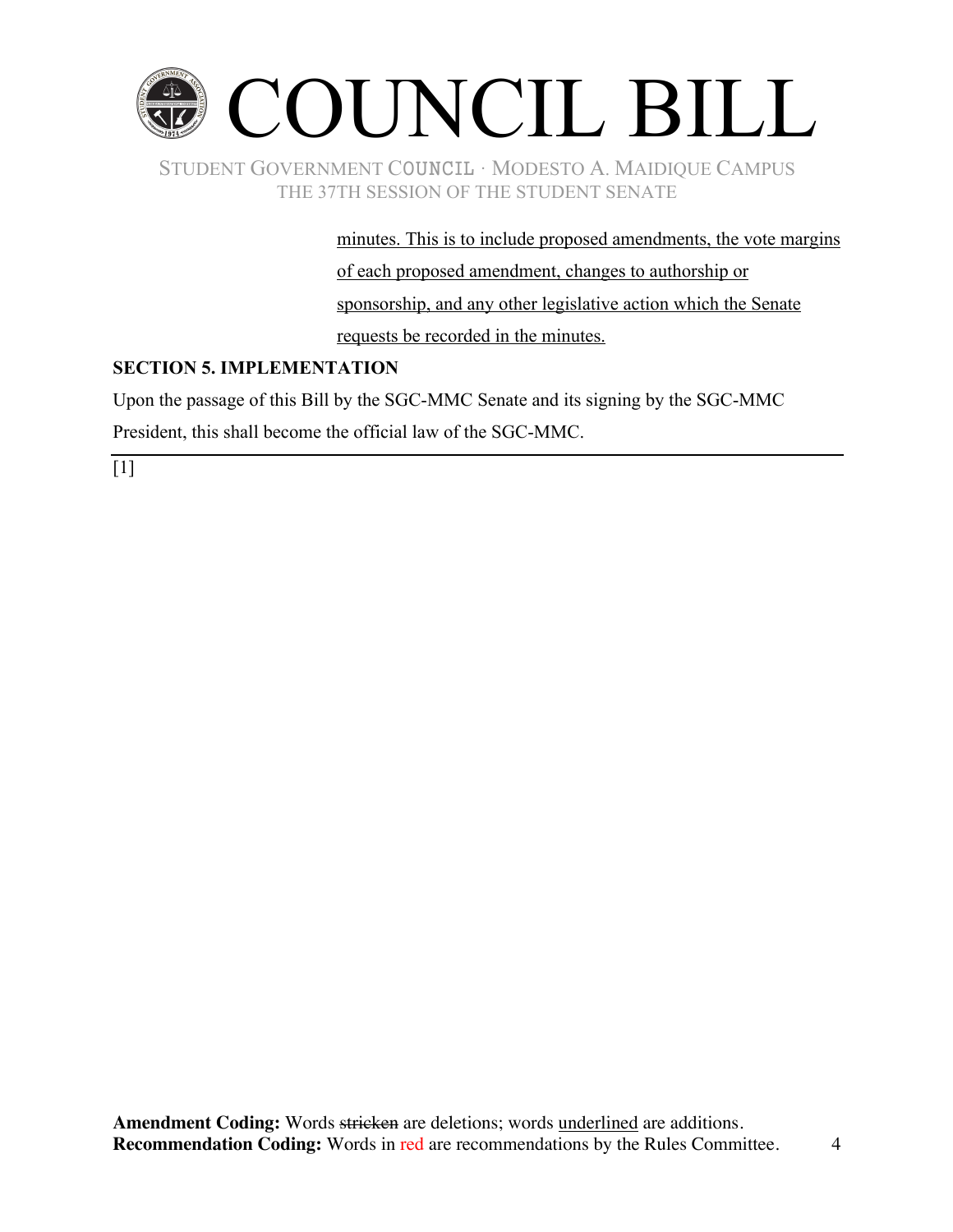

minutes. This is to include proposed amendments, the vote margins of each proposed amendment, changes to authorship or sponsorship, and any other legislative action which the Senate requests be recorded in the minutes.

# **SECTION 5. IMPLEMENTATION**

Upon the passage of this Bill by the SGC-MMC Senate and its signing by the SGC-MMC

President, this shall become the official law of the SGC-MMC.

 $\lceil 1 \rceil$